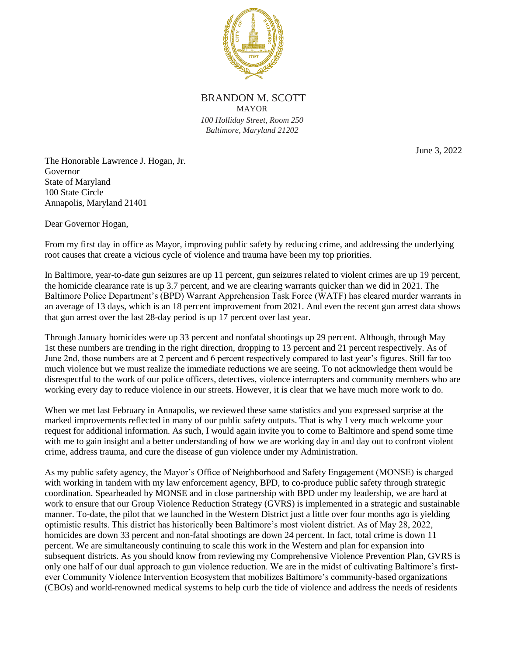

BRANDON M. SCOTT MAYOR *100 Holliday Street, Room 250 Baltimore, Maryland 21202*

June 3, 2022

The Honorable Lawrence J. Hogan, Jr. Governor State of Maryland 100 State Circle Annapolis, Maryland 21401

Dear Governor Hogan,

From my first day in office as Mayor, improving public safety by reducing crime, and addressing the underlying root causes that create a vicious cycle of violence and trauma have been my top priorities.

In Baltimore, year-to-date gun seizures are up 11 percent, gun seizures related to violent crimes are up 19 percent, the homicide clearance rate is up 3.7 percent, and we are clearing warrants quicker than we did in 2021. The Baltimore Police Department's (BPD) Warrant Apprehension Task Force (WATF) has cleared murder warrants in an average of 13 days, which is an 18 percent improvement from 2021. And even the recent gun arrest data shows that gun arrest over the last 28-day period is up 17 percent over last year.

Through January homicides were up 33 percent and nonfatal shootings up 29 percent. Although, through May 1st these numbers are trending in the right direction, dropping to 13 percent and 21 percent respectively. As of June 2nd, those numbers are at 2 percent and 6 percent respectively compared to last year's figures. Still far too much violence but we must realize the immediate reductions we are seeing. To not acknowledge them would be disrespectful to the work of our police officers, detectives, violence interrupters and community members who are working every day to reduce violence in our streets. However, it is clear that we have much more work to do.

When we met last February in Annapolis, we reviewed these same statistics and you expressed surprise at the marked improvements reflected in many of our public safety outputs. That is why I very much welcome your request for additional information. As such, I would again invite you to come to Baltimore and spend some time with me to gain insight and a better understanding of how we are working day in and day out to confront violent crime, address trauma, and cure the disease of gun violence under my Administration.

As my public safety agency, the Mayor's Office of Neighborhood and Safety Engagement (MONSE) is charged with working in tandem with my law enforcement agency, BPD, to co-produce public safety through strategic coordination. Spearheaded by MONSE and in close partnership with BPD under my leadership, we are hard at work to ensure that our Group Violence Reduction Strategy (GVRS) is implemented in a strategic and sustainable manner. To-date, the pilot that we launched in the Western District just a little over four months ago is yielding optimistic results. This district has historically been Baltimore's most violent district. As of May 28, 2022, homicides are down 33 percent and non-fatal shootings are down 24 percent. In fact, total crime is down 11 percent. We are simultaneously continuing to scale this work in the Western and plan for expansion into subsequent districts. As you should know from reviewing my Comprehensive Violence Prevention Plan, GVRS is only one half of our dual approach to gun violence reduction. We are in the midst of cultivating Baltimore's firstever Community Violence Intervention Ecosystem that mobilizes Baltimore's community-based organizations (CBOs) and world-renowned medical systems to help curb the tide of violence and address the needs of residents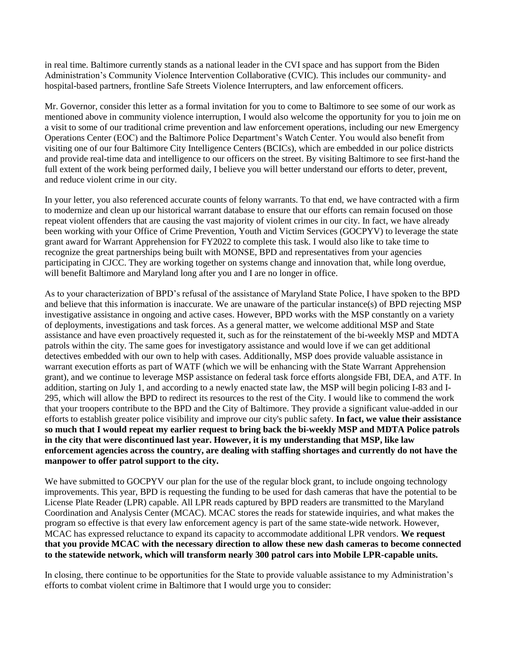in real time. Baltimore currently stands as a national leader in the CVI space and has support from the Biden Administration's Community Violence Intervention Collaborative (CVIC). This includes our community- and hospital-based partners, frontline Safe Streets Violence Interrupters, and law enforcement officers.

Mr. Governor, consider this letter as a formal invitation for you to come to Baltimore to see some of our work as mentioned above in community violence interruption, I would also welcome the opportunity for you to join me on a visit to some of our traditional crime prevention and law enforcement operations, including our new Emergency Operations Center (EOC) and the Baltimore Police Department's Watch Center. You would also benefit from visiting one of our four Baltimore City Intelligence Centers (BCICs), which are embedded in our police districts and provide real-time data and intelligence to our officers on the street. By visiting Baltimore to see first-hand the full extent of the work being performed daily, I believe you will better understand our efforts to deter, prevent, and reduce violent crime in our city.

In your letter, you also referenced accurate counts of felony warrants. To that end, we have contracted with a firm to modernize and clean up our historical warrant database to ensure that our efforts can remain focused on those repeat violent offenders that are causing the vast majority of violent crimes in our city. In fact, we have already been working with your Office of Crime Prevention, Youth and Victim Services (GOCPYV) to leverage the state grant award for Warrant Apprehension for FY2022 to complete this task. I would also like to take time to recognize the great partnerships being built with MONSE, BPD and representatives from your agencies participating in CJCC. They are working together on systems change and innovation that, while long overdue, will benefit Baltimore and Maryland long after you and I are no longer in office.

As to your characterization of BPD's refusal of the assistance of Maryland State Police, I have spoken to the BPD and believe that this information is inaccurate. We are unaware of the particular instance(s) of BPD rejecting MSP investigative assistance in ongoing and active cases. However, BPD works with the MSP constantly on a variety of deployments, investigations and task forces. As a general matter, we welcome additional MSP and State assistance and have even proactively requested it, such as for the reinstatement of the bi-weekly MSP and MDTA patrols within the city. The same goes for investigatory assistance and would love if we can get additional detectives embedded with our own to help with cases. Additionally, MSP does provide valuable assistance in warrant execution efforts as part of WATF (which we will be enhancing with the State Warrant Apprehension grant), and we continue to leverage MSP assistance on federal task force efforts alongside FBI, DEA, and ATF. In addition, starting on July 1, and according to a newly enacted state law, the MSP will begin policing I-83 and I-295, which will allow the BPD to redirect its resources to the rest of the City. I would like to commend the work that your troopers contribute to the BPD and the City of Baltimore. They provide a significant value-added in our efforts to establish greater police visibility and improve our city's public safety. **In fact, we value their assistance so much that I would repeat my earlier request to bring back the bi-weekly MSP and MDTA Police patrols in the city that were discontinued last year. However, it is my understanding that MSP, like law enforcement agencies across the country, are dealing with staffing shortages and currently do not have the manpower to offer patrol support to the city.**

We have submitted to GOCPYV our plan for the use of the regular block grant, to include ongoing technology improvements. This year, BPD is requesting the funding to be used for dash cameras that have the potential to be License Plate Reader (LPR) capable. All LPR reads captured by BPD readers are transmitted to the Maryland Coordination and Analysis Center (MCAC). MCAC stores the reads for statewide inquiries, and what makes the program so effective is that every law enforcement agency is part of the same state-wide network. However, MCAC has expressed reluctance to expand its capacity to accommodate additional LPR vendors. **We request that you provide MCAC with the necessary direction to allow these new dash cameras to become connected to the statewide network, which will transform nearly 300 patrol cars into Mobile LPR-capable units.**

In closing, there continue to be opportunities for the State to provide valuable assistance to my Administration's efforts to combat violent crime in Baltimore that I would urge you to consider: